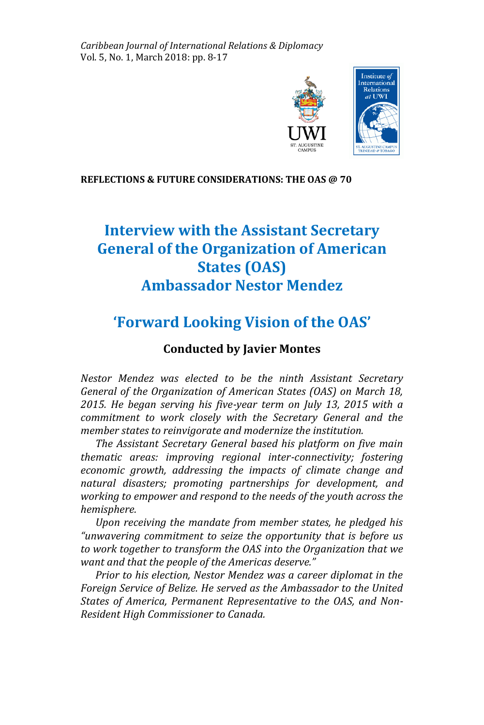*Caribbean Journal of International Relations & Diplomacy* Vol. 5, No. 1, March 2018: pp. 8-17



#### **REFLECTIONS & FUTURE CONSIDERATIONS: THE OAS @ 70**

# **Interview with the Assistant Secretary General of the Organization of American States (OAS) Ambassador Nestor Mendez**

## **'Forward Looking Vision of the OAS'**

## **Conducted by Javier Montes**

*Nestor Mendez was elected to be the ninth Assistant Secretary General of the Organization of American States (OAS) on March 18, 2015. He began serving his five-year term on July 13, 2015 with a commitment to work closely with the Secretary General and the member states to reinvigorate and modernize the institution.*

 *The Assistant Secretary General based his platform on five main thematic areas: improving regional inter-connectivity; fostering economic growth, addressing the impacts of climate change and natural disasters; promoting partnerships for development, and working to empower and respond to the needs of the youth across the hemisphere.*

 *Upon receiving the mandate from member states, he pledged his "unwavering commitment to seize the opportunity that is before us to work together to transform the OAS into the Organization that we want and that the people of the Americas deserve."*

 *Prior to his election, Nestor Mendez was a career diplomat in the Foreign Service of Belize. He served as the Ambassador to the United States of America, Permanent Representative to the OAS, and Non-Resident High Commissioner to Canada.*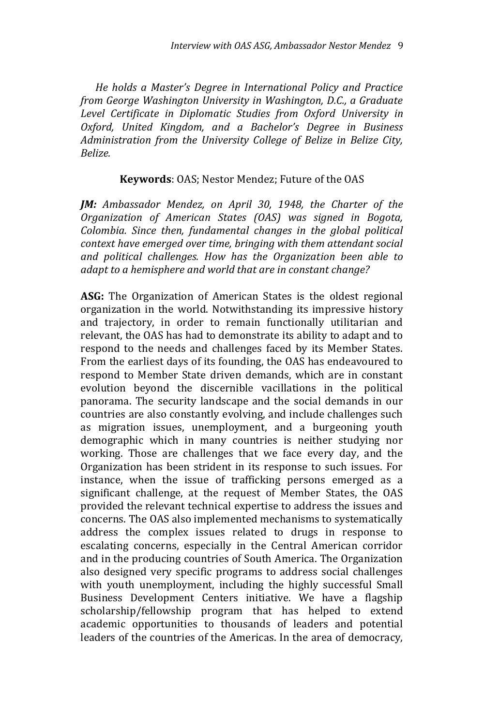*He holds a Master's Degree in International Policy and Practice from George Washington University in Washington, D.C., a Graduate Level Certificate in Diplomatic Studies from Oxford University in Oxford, United Kingdom, and a Bachelor's Degree in Business Administration from the University College of Belize in Belize City, Belize.* 

#### **Keywords**: OAS; Nestor Mendez; Future of the OAS

*JM: Ambassador Mendez, on April 30, 1948, the Charter of the Organization of American States (OAS) was signed in Bogota, Colombia. Since then, fundamental changes in the global political context have emerged over time, bringing with them attendant social and political challenges. How has the Organization been able to adapt to a hemisphere and world that are in constant change?*

**ASG:** The Organization of American States is the oldest regional organization in the world. Notwithstanding its impressive history and trajectory, in order to remain functionally utilitarian and relevant, the OAS has had to demonstrate its ability to adapt and to respond to the needs and challenges faced by its Member States. From the earliest days of its founding, the OAS has endeavoured to respond to Member State driven demands, which are in constant evolution beyond the discernible vacillations in the political panorama. The security landscape and the social demands in our countries are also constantly evolving, and include challenges such as migration issues, unemployment, and a burgeoning youth demographic which in many countries is neither studying nor working. Those are challenges that we face every day, and the Organization has been strident in its response to such issues. For instance, when the issue of trafficking persons emerged as a significant challenge, at the request of Member States, the OAS provided the relevant technical expertise to address the issues and concerns. The OAS also implemented mechanisms to systematically address the complex issues related to drugs in response to escalating concerns, especially in the Central American corridor and in the producing countries of South America. The Organization also designed very specific programs to address social challenges with youth unemployment, including the highly successful Small Business Development Centers initiative. We have a flagship scholarship/fellowship program that has helped to extend academic opportunities to thousands of leaders and potential leaders of the countries of the Americas. In the area of democracy,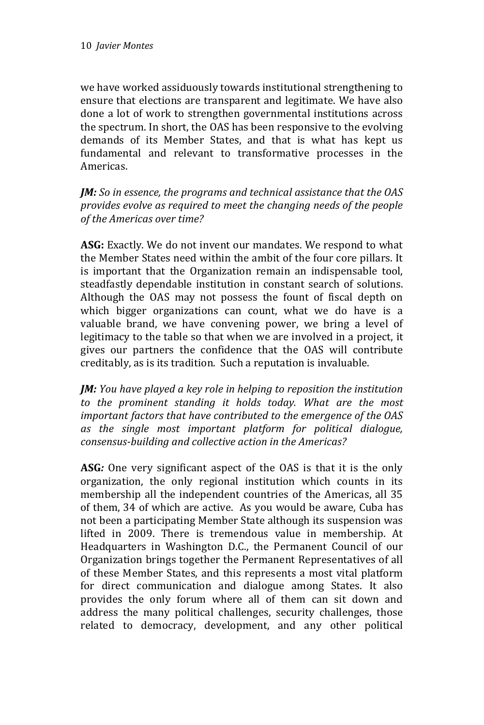we have worked assiduously towards institutional strengthening to ensure that elections are transparent and legitimate. We have also done a lot of work to strengthen governmental institutions across the spectrum. In short, the OAS has been responsive to the evolving demands of its Member States, and that is what has kept us fundamental and relevant to transformative processes in the Americas.

*JM: So in essence, the programs and technical assistance that the OAS provides evolve as required to meet the changing needs of the people of the Americas over time?*

**ASG:** Exactly. We do not invent our mandates. We respond to what the Member States need within the ambit of the four core pillars. It is important that the Organization remain an indispensable tool, steadfastly dependable institution in constant search of solutions. Although the OAS may not possess the fount of fiscal depth on which bigger organizations can count, what we do have is a valuable brand, we have convening power, we bring a level of legitimacy to the table so that when we are involved in a project, it gives our partners the confidence that the OAS will contribute creditably, as is its tradition. Such a reputation is invaluable.

*JM: You have played a key role in helping to reposition the institution to the prominent standing it holds today. What are the most important factors that have contributed to the emergence of the OAS as the single most important platform for political dialogue, consensus-building and collective action in the Americas?*

**ASG***:* One very significant aspect of the OAS is that it is the only organization, the only regional institution which counts in its membership all the independent countries of the Americas, all 35 of them, 34 of which are active. As you would be aware, Cuba has not been a participating Member State although its suspension was lifted in 2009. There is tremendous value in membership. At Headquarters in Washington D.C., the Permanent Council of our Organization brings together the Permanent Representatives of all of these Member States, and this represents a most vital platform for direct communication and dialogue among States. It also provides the only forum where all of them can sit down and address the many political challenges, security challenges, those related to democracy, development, and any other political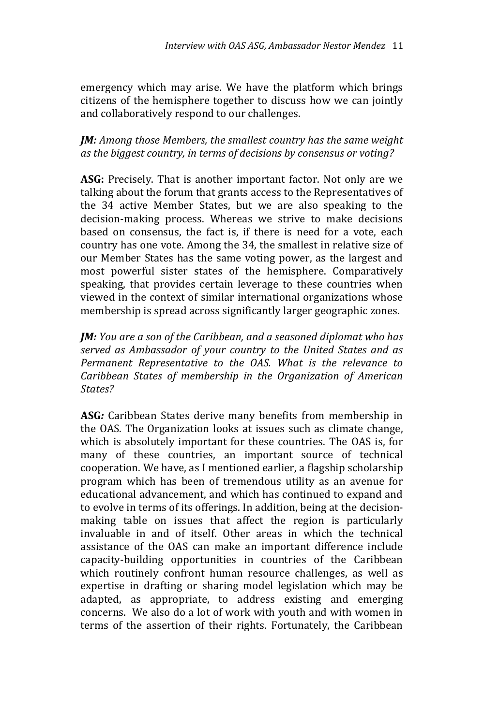emergency which may arise. We have the platform which brings citizens of the hemisphere together to discuss how we can jointly and collaboratively respond to our challenges.

*JM: Among those Members, the smallest country has the same weight as the biggest country, in terms of decisions by consensus or voting?*

**ASG:** Precisely. That is another important factor. Not only are we talking about the forum that grants access to the Representatives of the 34 active Member States, but we are also speaking to the decision-making process. Whereas we strive to make decisions based on consensus, the fact is, if there is need for a vote, each country has one vote. Among the 34, the smallest in relative size of our Member States has the same voting power, as the largest and most powerful sister states of the hemisphere. Comparatively speaking, that provides certain leverage to these countries when viewed in the context of similar international organizations whose membership is spread across significantly larger geographic zones.

*JM: You are a son of the Caribbean, and a seasoned diplomat who has served as Ambassador of your country to the United States and as Permanent Representative to the OAS. What is the relevance to Caribbean States of membership in the Organization of American States?*

**ASG***:* Caribbean States derive many benefits from membership in the OAS. The Organization looks at issues such as climate change, which is absolutely important for these countries. The OAS is, for many of these countries, an important source of technical cooperation. We have, as I mentioned earlier, a flagship scholarship program which has been of tremendous utility as an avenue for educational advancement, and which has continued to expand and to evolve in terms of its offerings. In addition, being at the decisionmaking table on issues that affect the region is particularly invaluable in and of itself. Other areas in which the technical assistance of the OAS can make an important difference include capacity-building opportunities in countries of the Caribbean which routinely confront human resource challenges, as well as expertise in drafting or sharing model legislation which may be adapted, as appropriate, to address existing and emerging concerns. We also do a lot of work with youth and with women in terms of the assertion of their rights. Fortunately, the Caribbean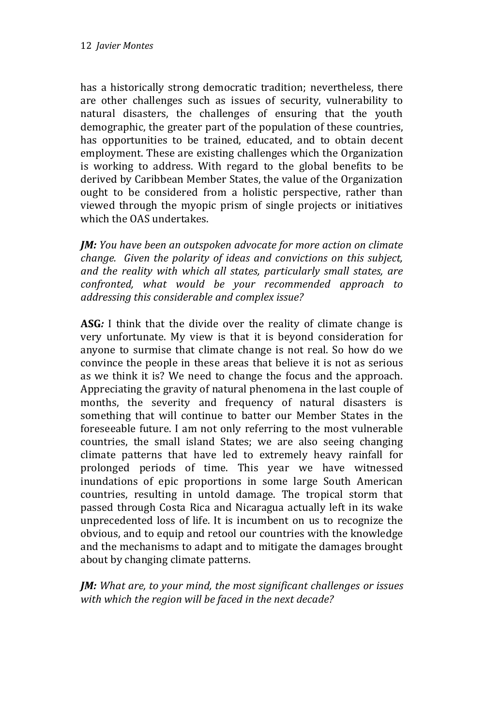has a historically strong democratic tradition; nevertheless, there are other challenges such as issues of security, vulnerability to natural disasters, the challenges of ensuring that the youth demographic, the greater part of the population of these countries, has opportunities to be trained, educated, and to obtain decent employment. These are existing challenges which the Organization is working to address. With regard to the global benefits to be derived by Caribbean Member States, the value of the Organization ought to be considered from a holistic perspective, rather than viewed through the myopic prism of single projects or initiatives which the OAS undertakes.

*JM: You have been an outspoken advocate for more action on climate change. Given the polarity of ideas and convictions on this subject, and the reality with which all states, particularly small states, are confronted, what would be your recommended approach to addressing this considerable and complex issue?*

**ASG***:* I think that the divide over the reality of climate change is very unfortunate. My view is that it is beyond consideration for anyone to surmise that climate change is not real. So how do we convince the people in these areas that believe it is not as serious as we think it is? We need to change the focus and the approach. Appreciating the gravity of natural phenomena in the last couple of months, the severity and frequency of natural disasters is something that will continue to batter our Member States in the foreseeable future. I am not only referring to the most vulnerable countries, the small island States; we are also seeing changing climate patterns that have led to extremely heavy rainfall for prolonged periods of time. This year we have witnessed inundations of epic proportions in some large South American countries, resulting in untold damage. The tropical storm that passed through Costa Rica and Nicaragua actually left in its wake unprecedented loss of life. It is incumbent on us to recognize the obvious, and to equip and retool our countries with the knowledge and the mechanisms to adapt and to mitigate the damages brought about by changing climate patterns.

*JM: What are, to your mind, the most significant challenges or issues with which the region will be faced in the next decade?*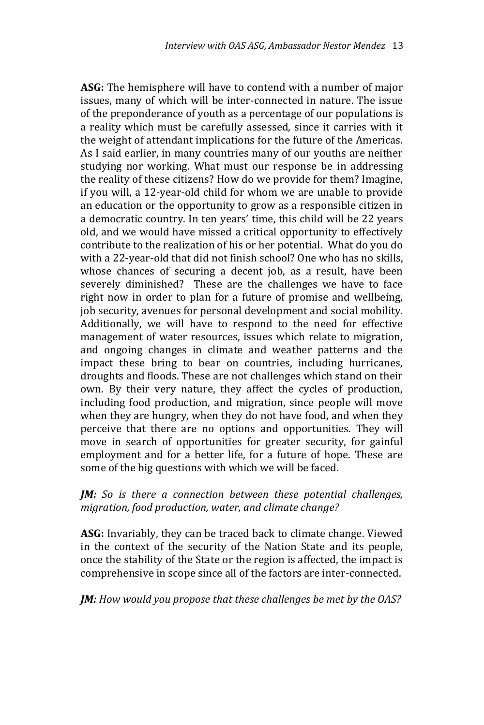**ASG:** The hemisphere will have to contend with a number of major issues, many of which will be inter-connected in nature. The issue of the preponderance of youth as a percentage of our populations is a reality which must be carefully assessed, since it carries with it the weight of attendant implications for the future of the Americas. As I said earlier, in many countries many of our youths are neither studying nor working. What must our response be in addressing the reality of these citizens? How do we provide for them? Imagine, if you will, a 12-year-old child for whom we are unable to provide an education or the opportunity to grow as a responsible citizen in a democratic country. In ten years' time, this child will be 22 years old, and we would have missed a critical opportunity to effectively contribute to the realization of his or her potential. What do you do with a 22-year-old that did not finish school? One who has no skills, whose chances of securing a decent job, as a result, have been severely diminished? These are the challenges we have to face right now in order to plan for a future of promise and wellbeing, job security, avenues for personal development and social mobility. Additionally, we will have to respond to the need for effective management of water resources, issues which relate to migration, and ongoing changes in climate and weather patterns and the impact these bring to bear on countries, including hurricanes, droughts and floods. These are not challenges which stand on their own. By their very nature, they affect the cycles of production, including food production, and migration, since people will move when they are hungry, when they do not have food, and when they perceive that there are no options and opportunities. They will move in search of opportunities for greater security, for gainful employment and for a better life, for a future of hope. These are some of the big questions with which we will be faced.

### *JM: So is there a connection between these potential challenges, migration, food production, water, and climate change?*

**ASG:** Invariably, they can be traced back to climate change. Viewed in the context of the security of the Nation State and its people, once the stability of the State or the region is affected, the impact is comprehensive in scope since all of the factors are inter-connected.

*JM: How would you propose that these challenges be met by the OAS?*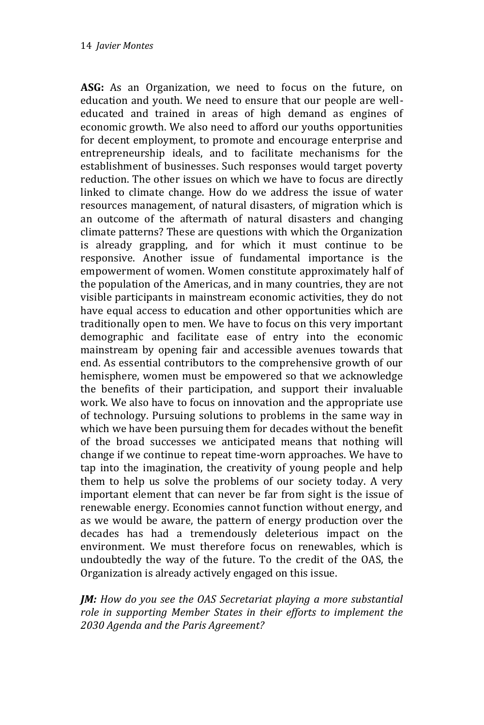**ASG:** As an Organization, we need to focus on the future, on education and youth. We need to ensure that our people are welleducated and trained in areas of high demand as engines of economic growth. We also need to afford our youths opportunities for decent employment, to promote and encourage enterprise and entrepreneurship ideals, and to facilitate mechanisms for the establishment of businesses. Such responses would target poverty reduction. The other issues on which we have to focus are directly linked to climate change. How do we address the issue of water resources management, of natural disasters, of migration which is an outcome of the aftermath of natural disasters and changing climate patterns? These are questions with which the Organization is already grappling, and for which it must continue to be responsive. Another issue of fundamental importance is the empowerment of women. Women constitute approximately half of the population of the Americas, and in many countries, they are not visible participants in mainstream economic activities, they do not have equal access to education and other opportunities which are traditionally open to men. We have to focus on this very important demographic and facilitate ease of entry into the economic mainstream by opening fair and accessible avenues towards that end. As essential contributors to the comprehensive growth of our hemisphere, women must be empowered so that we acknowledge the benefits of their participation, and support their invaluable work. We also have to focus on innovation and the appropriate use of technology. Pursuing solutions to problems in the same way in which we have been pursuing them for decades without the benefit of the broad successes we anticipated means that nothing will change if we continue to repeat time-worn approaches. We have to tap into the imagination, the creativity of young people and help them to help us solve the problems of our society today. A very important element that can never be far from sight is the issue of renewable energy. Economies cannot function without energy, and as we would be aware, the pattern of energy production over the decades has had a tremendously deleterious impact on the environment. We must therefore focus on renewables, which is undoubtedly the way of the future. To the credit of the OAS, the Organization is already actively engaged on this issue.

*JM: How do you see the OAS Secretariat playing a more substantial role in supporting Member States in their efforts to implement the 2030 Agenda and the Paris Agreement?*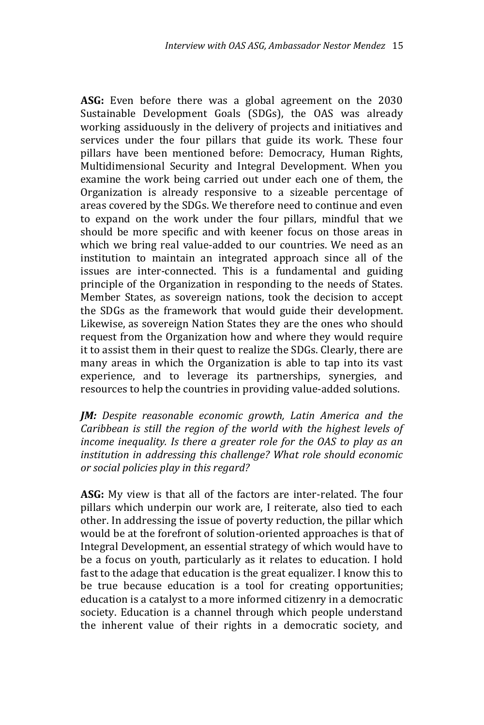**ASG:** Even before there was a global agreement on the 2030 Sustainable Development Goals (SDGs), the OAS was already working assiduously in the delivery of projects and initiatives and services under the four pillars that guide its work. These four pillars have been mentioned before: Democracy, Human Rights, Multidimensional Security and Integral Development. When you examine the work being carried out under each one of them, the Organization is already responsive to a sizeable percentage of areas covered by the SDGs. We therefore need to continue and even to expand on the work under the four pillars, mindful that we should be more specific and with keener focus on those areas in which we bring real value-added to our countries. We need as an institution to maintain an integrated approach since all of the issues are inter-connected. This is a fundamental and guiding principle of the Organization in responding to the needs of States. Member States, as sovereign nations, took the decision to accept the SDGs as the framework that would guide their development. Likewise, as sovereign Nation States they are the ones who should request from the Organization how and where they would require it to assist them in their quest to realize the SDGs. Clearly, there are many areas in which the Organization is able to tap into its vast experience, and to leverage its partnerships, synergies, and resources to help the countries in providing value-added solutions.

*JM: Despite reasonable economic growth, Latin America and the Caribbean is still the region of the world with the highest levels of income inequality. Is there a greater role for the OAS to play as an institution in addressing this challenge? What role should economic or social policies play in this regard?*

**ASG:** My view is that all of the factors are inter-related. The four pillars which underpin our work are, I reiterate, also tied to each other. In addressing the issue of poverty reduction, the pillar which would be at the forefront of solution-oriented approaches is that of Integral Development, an essential strategy of which would have to be a focus on youth, particularly as it relates to education. I hold fast to the adage that education is the great equalizer. I know this to be true because education is a tool for creating opportunities; education is a catalyst to a more informed citizenry in a democratic society. Education is a channel through which people understand the inherent value of their rights in a democratic society, and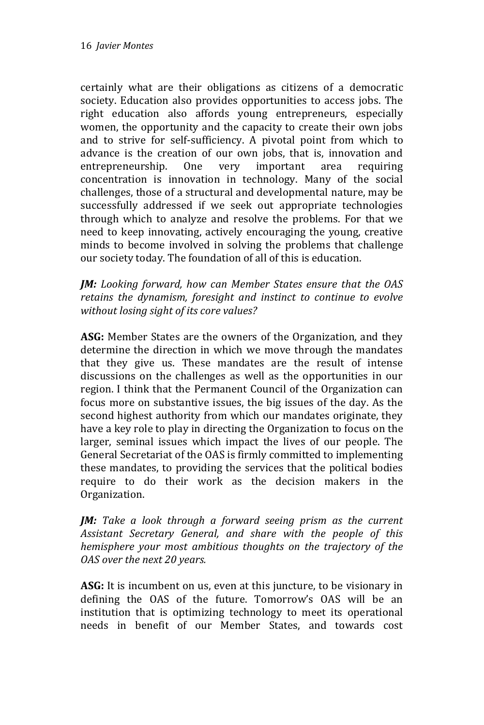certainly what are their obligations as citizens of a democratic society. Education also provides opportunities to access jobs. The right education also affords young entrepreneurs, especially women, the opportunity and the capacity to create their own jobs and to strive for self-sufficiency. A pivotal point from which to advance is the creation of our own jobs, that is, innovation and entrepreneurship. One very important area requiring concentration is innovation in technology. Many of the social challenges, those of a structural and developmental nature, may be successfully addressed if we seek out appropriate technologies through which to analyze and resolve the problems. For that we need to keep innovating, actively encouraging the young, creative minds to become involved in solving the problems that challenge our society today. The foundation of all of this is education.

*JM: Looking forward, how can Member States ensure that the OAS retains the dynamism, foresight and instinct to continue to evolve without losing sight of its core values?*

**ASG:** Member States are the owners of the Organization, and they determine the direction in which we move through the mandates that they give us. These mandates are the result of intense discussions on the challenges as well as the opportunities in our region. I think that the Permanent Council of the Organization can focus more on substantive issues, the big issues of the day. As the second highest authority from which our mandates originate, they have a key role to play in directing the Organization to focus on the larger, seminal issues which impact the lives of our people. The General Secretariat of the OAS is firmly committed to implementing these mandates, to providing the services that the political bodies require to do their work as the decision makers in the Organization.

*JM: Take a look through a forward seeing prism as the current Assistant Secretary General, and share with the people of this hemisphere your most ambitious thoughts on the trajectory of the OAS over the next 20 years.* 

**ASG:** It is incumbent on us, even at this juncture, to be visionary in defining the OAS of the future. Tomorrow's OAS will be an institution that is optimizing technology to meet its operational needs in benefit of our Member States, and towards cost